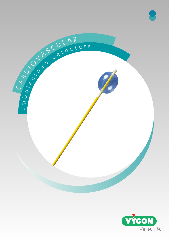

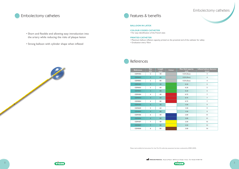# Embolectomy catheters







### Embolectomy catheters

- Short and flexible end allowing easy introduction into the artery while reducing the risks of plaque lesion
- Strong balloon with cylinder shape when inflated

### **BALLOON IN LATEX**

#### **COLOUR CODED CATHETER**

• For easy identification of the French sizes

#### **PRINTED CATHETER**

- Maximum balloon inflation capacity printed on the proximal end of the catheter for safety
- Graduation every 10cm



| <b>References</b> | <b>Size</b><br>(Fr)     | Length<br>(cm) | Colour | Max. fluid capacity<br>(m <sub>l</sub> ) | Inflated balloon diameter<br>(mm) |
|-------------------|-------------------------|----------------|--------|------------------------------------------|-----------------------------------|
| <b>CEM402</b>     | $\mathbf 2$             | 40             |        | $0.20$ (Gaz)                             | $\overline{4}$                    |
| <b>CEM602</b>     | $\overline{2}$          | 60             |        | $0.20$ (Gaz)                             | $\overline{4}$                    |
| <b>CEM802</b>     | $\mathbf 2$             | 80             |        | $0.20$ (Gaz)                             | $\overline{\mathbf{4}}$           |
| <b>CEM403</b>     | $\overline{3}$          | 40             |        | 0.20                                     | 5                                 |
| <b>CEM603</b>     | 3                       | 60             |        | 0.20                                     | 5                                 |
| <b>CEM803</b>     | $\overline{3}$          | 80             |        | 0.20                                     | 5                                 |
| <b>CEM404</b>     | $\overline{4}$          | 40             |        | 0.75                                     | $\overline{7}$                    |
| <b>CEM604</b>     | $\overline{4}$          | 60             |        | 0.75                                     | $\mathcal{I}$                     |
| <b>CEM804</b>     | $\overline{\mathbf{4}}$ | 80             |        | 0.75                                     | $\overline{7}$                    |
| <b>CEM405</b>     | 5 <sup>1</sup>          | 40             |        | 1.50                                     | 9                                 |
| <b>CEM605</b>     | 5                       | 60             |        | 1.50                                     | 9                                 |
| <b>CEM805</b>     | 5                       | 80             |        | 1.50                                     | 9                                 |
| <b>CEM406</b>     | 6                       | 40             |        | 2.00                                     | 11                                |
| <b>CEM806</b>     | $\overline{6}$          | 80             |        | 2.00                                     | 11                                |
| <b>CEM407</b>     | $\overline{7}$          | 40             |        | 2.50                                     | 13                                |
| <b>CEM807</b>     | $\overline{7}$          | 80             |        | 2.50                                     | 13                                |
| <b>CEM808</b>     | 8                       | 80             |        | 3.00                                     | 14                                |

## References

Please read carefully the Instructions For Use. The CE conformity assessment has been conducted by GMED (0459).